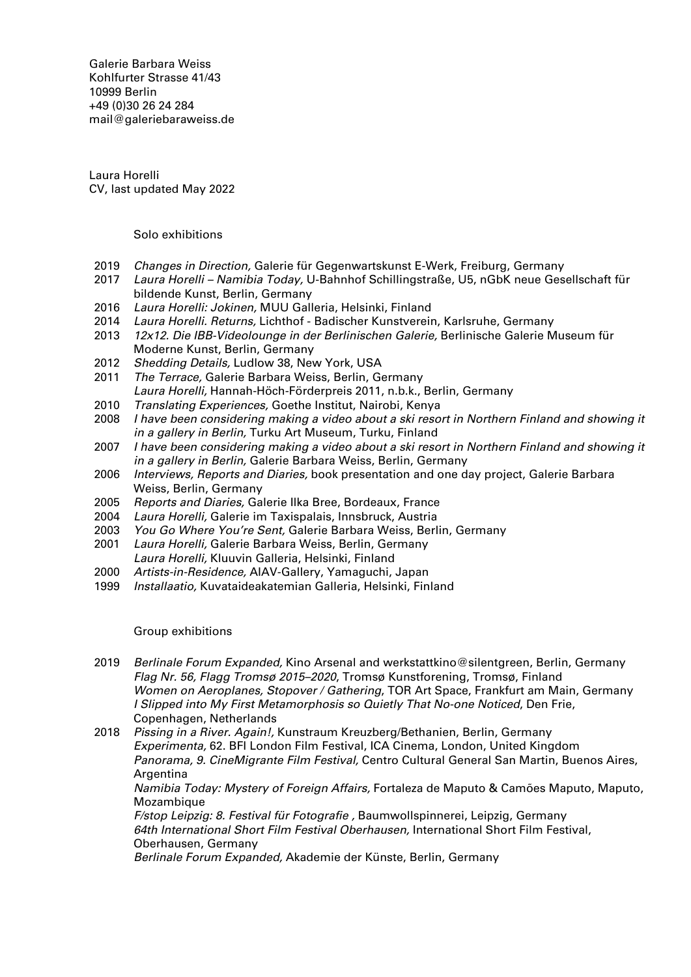Galerie Barbara Weiss [Kohlfurter Strasse 41/43](https://goo.gl/maps/ZQcePopa6uu3a3k19) [10999 Berlin](https://goo.gl/maps/ZQcePopa6uu3a3k19) +49 (0)30 26 24 284 [mail@galeriebaraweiss.de](mailto:mail@galeriebarbaraweiss.de)

Laura Horelli CV, last updated May 2022

## Solo exhibitions

- 2019 Changes in Direction, Galerie für Gegenwartskunst E-Werk, Freiburg, Germany
- 2017 Laura Horelli Namibia Today, U-Bahnhof Schillingstraße, U5, nGbK neue Gesellschaft für bildende Kunst, Berlin, Germany
- 2016 Laura Horelli: Jokinen, MUU Galleria, Helsinki, Finland
- 2014 Laura Horelli. Returns, Lichthof Badischer Kunstverein, Karlsruhe, Germany
- 2013 12x12. Die IBB-Videolounge in der Berlinischen Galerie, Berlinische Galerie Museum für Moderne Kunst, Berlin, Germany
- 2012 Shedding Details, Ludlow 38, New York, USA
- 2011 The Terrace, Galerie Barbara Weiss, Berlin, Germany Laura Horelli, Hannah-Höch-Förderpreis 2011, n.b.k., Berlin, Germany
- 2010 Translating Experiences, Goethe Institut, Nairobi, Kenya
- 2008 I have been considering making a video about a ski resort in Northern Finland and showing it in a gallery in Berlin, Turku Art Museum, Turku, Finland
- 2007 I have been considering making a video about a ski resort in Northern Finland and showing it in a gallery in Berlin, Galerie Barbara Weiss, Berlin, Germany
- 2006 Interviews, Reports and Diaries, book presentation and one day project, Galerie Barbara Weiss, Berlin, Germany
- 2005 Reports and Diaries, Galerie Ilka Bree, Bordeaux, France<br>2004 Laura Horelli, Galerie im Taxispalais, Innsbruck, Austria
- Laura Horelli, Galerie im Taxispalais, Innsbruck, Austria
- 2003 *You Go Where You're Sent,* Galerie Barbara Weiss, Berlin, Germany<br>2001 *Laura Horelli, Galerie Barbara Weiss, Berlin, Germany*
- Laura Horelli, Galerie Barbara Weiss, Berlin, Germany Laura Horelli, Kluuvin Galleria, Helsinki, Finland
- 2000 Artists-in-Residence, AIAV-Gallery, Yamaguchi, Japan
- 1999 Installaatio, Kuvataideakatemian Galleria, Helsinki, Finland

## Group exhibitions

- 2019 Berlinale Forum Expanded, Kino Arsenal and werkstattkino@silentgreen, Berlin, Germany Flag Nr. 56, Flagg Tromsø 2015–2020, Tromsø Kunstforening, Tromsø, Finland Women on Aeroplanes, Stopover / Gathering, TOR Art Space, Frankfurt am Main, Germany I Slipped into My First Metamorphosis so Quietly That No-one Noticed, Den Frie, Copenhagen, Netherlands
- 2018 Pissing in a River. Again!, Kunstraum Kreuzberg/Bethanien, Berlin, Germany Experimenta, 62. BFI London Film Festival, ICA Cinema, London, United Kingdom Panorama, 9. CineMigrante Film Festival, Centro Cultural General San Martin, Buenos Aires, **Argentina**

Namibia Today: Mystery of Foreign Affairs, Fortaleza de Maputo & Camões Maputo, Maputo, **Mozambique** 

F/stop Leipzig: 8. Festival für Fotografie , Baumwollspinnerei, Leipzig, Germany 64th International Short Film Festival Oberhausen, International Short Film Festival, Oberhausen, Germany

Berlinale Forum Expanded, Akademie der Künste, Berlin, Germany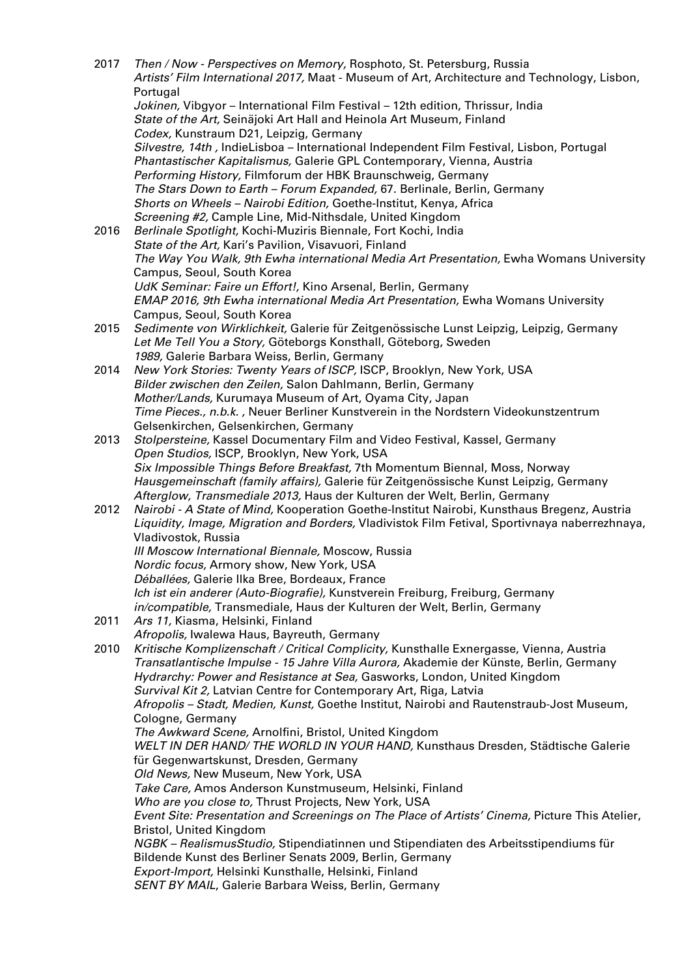| 2017 | Then / Now - Perspectives on Memory, Rosphoto, St. Petersburg, Russia<br>Artists' Film International 2017, Maat - Museum of Art, Architecture and Technology, Lisbon, |
|------|-----------------------------------------------------------------------------------------------------------------------------------------------------------------------|
|      | Portugal<br>Jokinen, Vibgyor - International Film Festival - 12th edition, Thrissur, India                                                                            |
|      | State of the Art, Seinäjoki Art Hall and Heinola Art Museum, Finland                                                                                                  |
|      | Codex, Kunstraum D21, Leipzig, Germany<br>Silvestre, 14th, IndieLisboa - International Independent Film Festival, Lisbon, Portugal                                    |
|      | Phantastischer Kapitalismus, Galerie GPL Contemporary, Vienna, Austria                                                                                                |
|      | Performing History, Filmforum der HBK Braunschweig, Germany                                                                                                           |
|      | The Stars Down to Earth - Forum Expanded, 67. Berlinale, Berlin, Germany                                                                                              |
|      | Shorts on Wheels - Nairobi Edition, Goethe-Institut, Kenya, Africa                                                                                                    |
| 2016 | Screening #2, Cample Line, Mid-Nithsdale, United Kingdom<br>Berlinale Spotlight, Kochi-Muziris Biennale, Fort Kochi, India                                            |
|      | State of the Art, Kari's Pavilion, Visavuori, Finland                                                                                                                 |
|      | The Way You Walk, 9th Ewha international Media Art Presentation, Ewha Womans University                                                                               |
|      | Campus, Seoul, South Korea                                                                                                                                            |
|      | UdK Seminar: Faire un Effort!, Kino Arsenal, Berlin, Germany                                                                                                          |
|      | EMAP 2016, 9th Ewha international Media Art Presentation, Ewha Womans University<br>Campus, Seoul, South Korea                                                        |
| 2015 | Sedimente von Wirklichkeit, Galerie für Zeitgenössische Lunst Leipzig, Leipzig, Germany                                                                               |
|      | Let Me Tell You a Story, Göteborgs Konsthall, Göteborg, Sweden                                                                                                        |
|      | 1989, Galerie Barbara Weiss, Berlin, Germany                                                                                                                          |
| 2014 | New York Stories: Twenty Years of ISCP, ISCP, Brooklyn, New York, USA                                                                                                 |
|      | Bilder zwischen den Zeilen, Salon Dahlmann, Berlin, Germany<br>Mother/Lands, Kurumaya Museum of Art, Oyama City, Japan                                                |
|      | Time Pieces., n.b.k., Neuer Berliner Kunstverein in the Nordstern Videokunstzentrum                                                                                   |
|      | Gelsenkirchen, Gelsenkirchen, Germany                                                                                                                                 |
| 2013 | Stolpersteine, Kassel Documentary Film and Video Festival, Kassel, Germany                                                                                            |
|      | Open Studios, ISCP, Brooklyn, New York, USA                                                                                                                           |
|      | Six Impossible Things Before Breakfast, 7th Momentum Biennal, Moss, Norway<br>Hausgemeinschaft (family affairs), Galerie für Zeitgenössische Kunst Leipzig, Germany   |
|      | Afterglow, Transmediale 2013, Haus der Kulturen der Welt, Berlin, Germany                                                                                             |
| 2012 | Nairobi - A State of Mind, Kooperation Goethe-Institut Nairobi, Kunsthaus Bregenz, Austria                                                                            |
|      | Liquidity, Image, Migration and Borders, Vladivistok Film Fetival, Sportivnaya naberrezhnaya,                                                                         |
|      | Vladivostok, Russia                                                                                                                                                   |
|      | III Moscow International Biennale, Moscow, Russia<br>Nordic focus, Armory show, New York, USA                                                                         |
|      | Déballées, Galerie Ilka Bree, Bordeaux, France                                                                                                                        |
|      | Ich ist ein anderer (Auto-Biografie), Kunstverein Freiburg, Freiburg, Germany                                                                                         |
|      | in/compatible, Transmediale, Haus der Kulturen der Welt, Berlin, Germany                                                                                              |
| 2011 | Ars 11, Kiasma, Helsinki, Finland                                                                                                                                     |
| 2010 | Afropolis, Iwalewa Haus, Bayreuth, Germany<br>Kritische Komplizenschaft / Critical Complicity, Kunsthalle Exnergasse, Vienna, Austria                                 |
|      | Transatlantische Impulse - 15 Jahre Villa Aurora, Akademie der Künste, Berlin, Germany                                                                                |
|      | Hydrarchy: Power and Resistance at Sea, Gasworks, London, United Kingdom                                                                                              |
|      | Survival Kit 2, Latvian Centre for Contemporary Art, Riga, Latvia                                                                                                     |
|      | Afropolis - Stadt, Medien, Kunst, Goethe Institut, Nairobi and Rautenstraub-Jost Museum,<br>Cologne, Germany                                                          |
|      | The Awkward Scene, Arnolfini, Bristol, United Kingdom                                                                                                                 |
|      | WELT IN DER HAND/ THE WORLD IN YOUR HAND, Kunsthaus Dresden, Städtische Galerie                                                                                       |
|      | für Gegenwartskunst, Dresden, Germany                                                                                                                                 |
|      | Old News, New Museum, New York, USA                                                                                                                                   |
|      | Take Care, Amos Anderson Kunstmuseum, Helsinki, Finland<br>Who are you close to, Thrust Projects, New York, USA                                                       |
|      | Event Site: Presentation and Screenings on The Place of Artists' Cinema, Picture This Atelier,                                                                        |
|      | <b>Bristol, United Kingdom</b>                                                                                                                                        |
|      | NGBK - RealismusStudio, Stipendiatinnen und Stipendiaten des Arbeitsstipendiums für                                                                                   |
|      | Bildende Kunst des Berliner Senats 2009, Berlin, Germany<br>Export-Import, Helsinki Kunsthalle, Helsinki, Finland                                                     |
|      | SENT BY MAIL, Galerie Barbara Weiss, Berlin, Germany                                                                                                                  |
|      |                                                                                                                                                                       |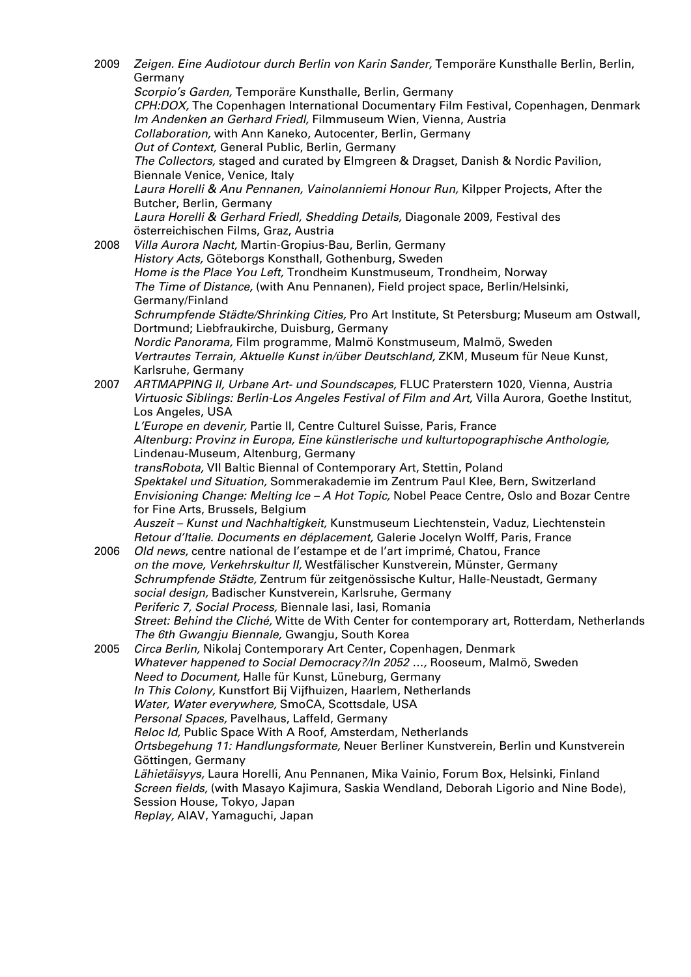2009 Zeigen. Eine Audiotour durch Berlin von Karin Sander, Temporäre Kunsthalle Berlin, Berlin, Germany Scorpio's Garden, Temporäre Kunsthalle, Berlin, Germany CPH:DOX, The Copenhagen International Documentary Film Festival, Copenhagen, Denmark Im Andenken an Gerhard Friedl, Filmmuseum Wien, Vienna, Austria Collaboration, with Ann Kaneko, Autocenter, Berlin, Germany Out of Context, General Public, Berlin, Germany The Collectors, staged and curated by Elmgreen & Dragset, Danish & Nordic Pavilion, Biennale Venice, Venice, Italy Laura Horelli & Anu Pennanen, Vainolanniemi Honour Run, Kilpper Projects, After the Butcher, Berlin, Germany Laura Horelli & Gerhard Friedl, Shedding Details, Diagonale 2009, Festival des österreichischen Films, Graz, Austria 2008 *Villa Aurora Nacht, Martin-Gropius-Bau, Berlin, Germany* History Acts, Göteborgs Konsthall, Gothenburg, Sweden Home is the Place You Left, Trondheim Kunstmuseum, Trondheim, Norway The Time of Distance, (with Anu Pennanen), Field project space, Berlin/Helsinki, Germany/Finland Schrumpfende Städte/Shrinking Cities, Pro Art Institute, St Petersburg; Museum am Ostwall, Dortmund; Liebfraukirche, Duisburg, Germany Nordic Panorama, Film programme, Malmö Konstmuseum, Malmö, Sweden Vertrautes Terrain, Aktuelle Kunst in/über Deutschland, ZKM, Museum für Neue Kunst, Karlsruhe, Germany 2007 ARTMAPPING II, Urbane Art- und Soundscapes, FLUC Praterstern 1020, Vienna, Austria Virtuosic Siblings: Berlin-Los Angeles Festival of Film and Art, Villa Aurora, Goethe Institut, Los Angeles, USA L'Europe en devenir, Partie II, Centre Culturel Suisse, Paris, France Altenburg: Provinz in Europa, Eine künstlerische und kulturtopographische Anthologie, Lindenau-Museum, Altenburg, Germany transRobota, VII Baltic Biennal of Contemporary Art, Stettin, Poland Spektakel und Situation, Sommerakademie im Zentrum Paul Klee, Bern, Switzerland Envisioning Change: Melting Ice – A Hot Topic, Nobel Peace Centre, Oslo and Bozar Centre for Fine Arts, Brussels, Belgium Auszeit – Kunst und Nachhaltigkeit, Kunstmuseum Liechtenstein, Vaduz, Liechtenstein Retour d'Italie. Documents en déplacement, Galerie Jocelyn Wolff, Paris, France 2006 Old news, centre national de l'estampe et de l'art imprimé, Chatou, France on the move, Verkehrskultur II, Westfälischer Kunstverein, Münster, Germany Schrumpfende Städte, Zentrum für zeitgenössische Kultur, Halle-Neustadt, Germany social design, Badischer Kunstverein, Karlsruhe, Germany Periferic 7, Social Process, Biennale Iasi, Iasi, Romania Street: Behind the Cliché, Witte de With Center for contemporary art, Rotterdam, Netherlands The 6th Gwangiu Biennale, Gwangju, South Korea 2005 Circa Berlin, Nikolaj Contemporary Art Center, Copenhagen, Denmark Whatever happened to Social Democracy?/In 2052 …, Rooseum, Malmö, Sweden Need to Document, Halle für Kunst, Lüneburg, Germany In This Colony, Kunstfort Bij Vijfhuizen, Haarlem, Netherlands Water, Water everywhere, SmoCA, Scottsdale, USA Personal Spaces, Pavelhaus, Laffeld, Germany Reloc Id, Public Space With A Roof, Amsterdam, Netherlands Ortsbegehung 11: Handlungsformate, Neuer Berliner Kunstverein, Berlin und Kunstverein Göttingen, Germany Lähietäisyys, Laura Horelli, Anu Pennanen, Mika Vainio, Forum Box, Helsinki, Finland Screen fields, (with Masayo Kajimura, Saskia Wendland, Deborah Ligorio and Nine Bode), Session House, Tokyo, Japan Replay, AIAV, Yamaguchi, Japan